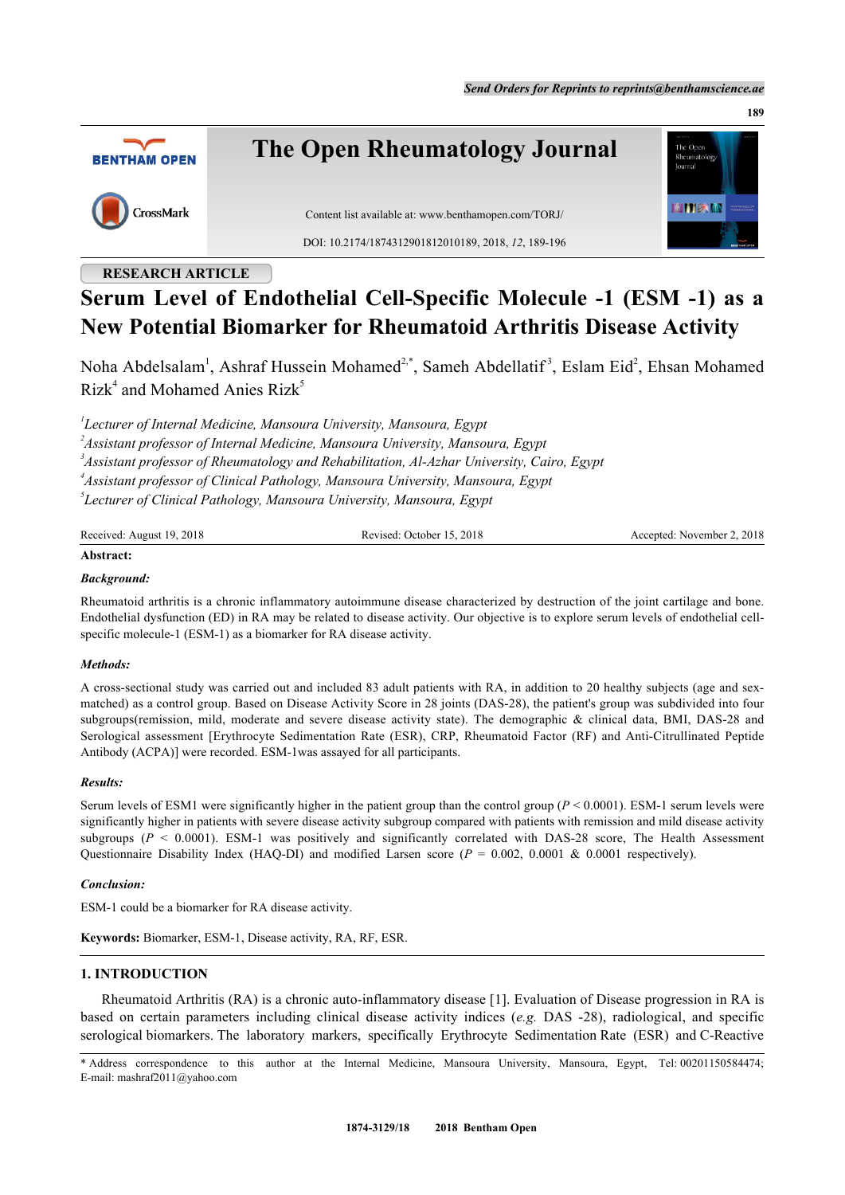**189**



## **RESEARCH ARTICLE**

# **Serum Level of Endothelial Cell-Specific Molecule -1 (ESM -1) as a New Potential Biomarker for Rheumatoid Arthritis Disease Activity**

Noha Abdelsalam<sup>[1](#page-0-0)</sup>, Ashraf Hussein Mohamed<sup>[2](#page-0-1),[\\*](#page-0-2)</sup>, Sameh Abdellatif<sup>3</sup>, Eslam Eid<sup>2</sup>, Ehsan Mohamed  $Rizk<sup>4</sup>$  $Rizk<sup>4</sup>$  $Rizk<sup>4</sup>$  and Mohamed Anies  $Rizk<sup>5</sup>$  $Rizk<sup>5</sup>$  $Rizk<sup>5</sup>$ 

<span id="page-0-3"></span><span id="page-0-1"></span><span id="page-0-0"></span> *Lecturer of Internal Medicine, Mansoura University, Mansoura, Egypt Assistant professor of Internal Medicine, Mansoura University, Mansoura, Egypt Assistant professor of Rheumatology and Rehabilitation, Al-Azhar University, Cairo, Egypt Assistant professor of Clinical Pathology, Mansoura University, Mansoura, Egypt Lecturer of Clinical Pathology, Mansoura University, Mansoura, Egypt*

<span id="page-0-5"></span><span id="page-0-4"></span>

| Received: August 19, 2018 | Revised: October 15, 2018 | Accepted: November 2, 2018 |
|---------------------------|---------------------------|----------------------------|
|                           |                           |                            |

## **Abstract:**

## *Background:*

Rheumatoid arthritis is a chronic inflammatory autoimmune disease characterized by destruction of the joint cartilage and bone. Endothelial dysfunction (ED) in RA may be related to disease activity. Our objective is to explore serum levels of endothelial cellspecific molecule-1 (ESM-1) as a biomarker for RA disease activity.

## *Methods:*

A cross-sectional study was carried out and included 83 adult patients with RA, in addition to 20 healthy subjects (age and sexmatched) as a control group. Based on Disease Activity Score in 28 joints (DAS-28), the patient's group was subdivided into four subgroups(remission, mild, moderate and severe disease activity state). The demographic & clinical data, BMI, DAS-28 and Serological assessment [Erythrocyte Sedimentation Rate (ESR), CRP, Rheumatoid Factor (RF) and Anti-Citrullinated Peptide Antibody (ACPA)] were recorded. ESM-1was assayed for all participants.

## *Results:*

Serum levels of ESM1 were significantly higher in the patient group than the control group  $(P < 0.0001)$ . ESM-1 serum levels were significantly higher in patients with severe disease activity subgroup compared with patients with remission and mild disease activity subgroups  $(P < 0.0001)$ . ESM-1 was positively and significantly correlated with DAS-28 score, The Health Assessment Questionnaire Disability Index (HAQ-DI) and modified Larsen score ( $P = 0.002, 0.0001$  & 0.0001 respectively).

## *Conclusion:*

ESM-1 could be a biomarker for RA disease activity.

**Keywords:** Biomarker, ESM-1, Disease activity, RA, RF, ESR.

## **1. INTRODUCTION**

Rheumatoid Arthritis (RA) is a chronic auto-inflammatory disease [[1\]](#page-5-0). Evaluation of Disease progression in RA is based on certain parameters including clinical disease activity indices (*e.g.* DAS -28), radiological, and specific serological biomarkers. The laboratory markers, specifically Erythrocyte Sedimentation Rate (ESR) and C-Reactive

<span id="page-0-2"></span>\* Address correspondence to this author at the Internal Medicine, Mansoura University, Mansoura, Egypt, Tel: 00201150584474; E-mail: [mashraf2011@yahoo.com](mailto:mashraf2011@yahoo.com)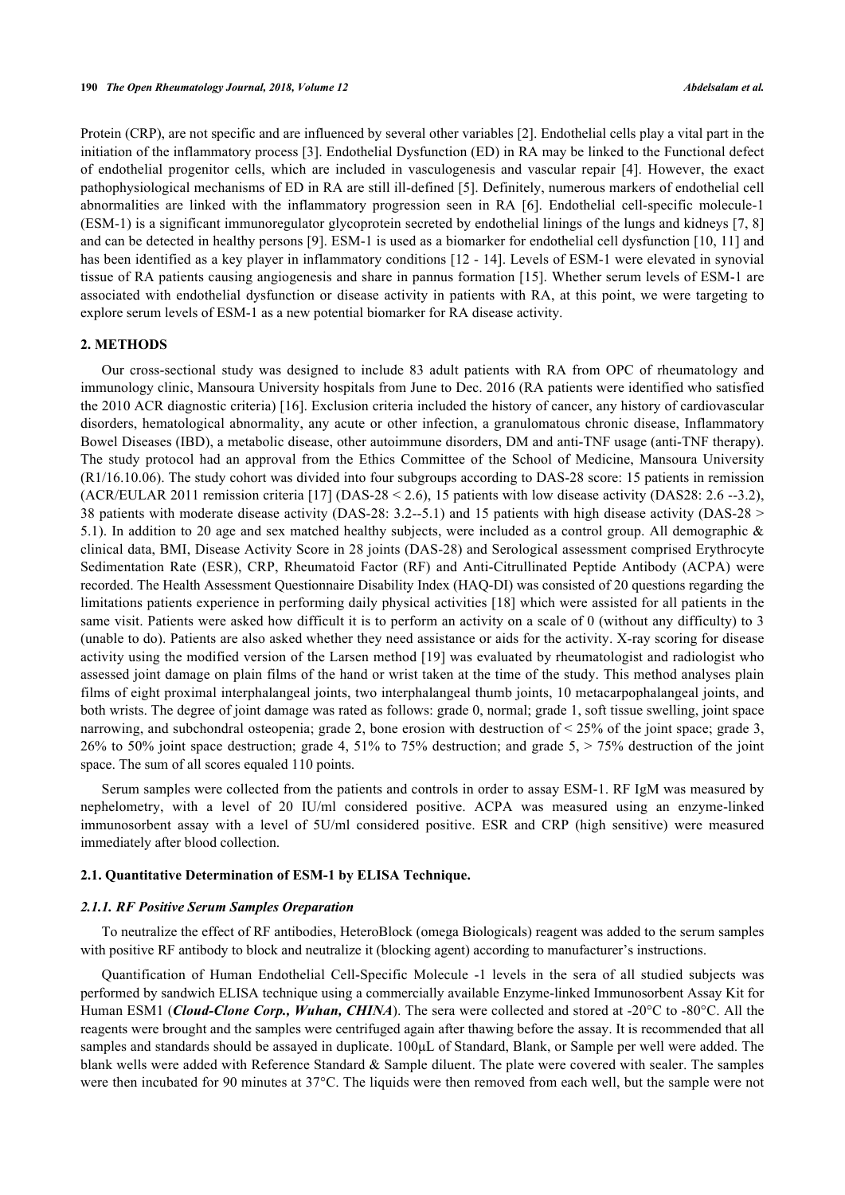Protein (CRP), are not specific and are influenced by several other variables [[2\]](#page-5-1). Endothelial cells play a vital part in the initiation of the inflammatory process [\[3](#page-5-2)]. Endothelial Dysfunction (ED) in RA may be linked to the Functional defect of endothelial progenitor cells, which are included in vasculogenesis and vascular repair [\[4\]](#page-6-0). However, the exact pathophysiological mechanisms of ED in RA are still ill-defined [\[5](#page-6-1)]. Definitely, numerous markers of endothelial cell abnormalities are linked with the inflammatory progression seen in RA [\[6](#page-6-2)]. Endothelial cell-specific molecule-1 (ESM-1) is a significant immunoregulator glycoprotein secreted by endothelial linings of the lungs and kidneys [[7,](#page-6-3) [8](#page-6-4)] and can be detected in healthy persons [[9\]](#page-6-5). ESM-1 is used as a biomarker for endothelial cell dysfunction [\[10,](#page-6-6) [11\]](#page-6-7) and has been identified as a key player in inflammatory conditions [[12](#page-6-8) - [14\]](#page-6-9). Levels of ESM-1 were elevated in synovial tissue of RA patients causing angiogenesis and share in pannus formation [[15\]](#page-6-10). Whether serum levels of ESM-1 are associated with endothelial dysfunction or disease activity in patients with RA, at this point, we were targeting to explore serum levels of ESM-1 as a new potential biomarker for RA disease activity.

#### **2. METHODS**

Our cross-sectional study was designed to include 83 adult patients with RA from OPC of rheumatology and immunology clinic, Mansoura University hospitals from June to Dec. 2016 (RA patients were identified who satisfied the 2010 ACR diagnostic criteria) [[16\]](#page-6-11). Exclusion criteria included the history of cancer, any history of cardiovascular disorders, hematological abnormality, any acute or other infection, a granulomatous chronic disease, Inflammatory Bowel Diseases (IBD), a metabolic disease, other autoimmune disorders, DM and anti-TNF usage (anti-TNF therapy). The study protocol had an approval from the Ethics Committee of the School of Medicine, Mansoura University (R1/16.10.06). The study cohort was divided into four subgroups according to DAS-28 score: 15 patients in remission (ACR/EULAR 2011 remission criteria [[17\]](#page-6-12) (DAS-28 < 2.6), 15 patients with low disease activity (DAS28: 2.6 --3.2), 38 patients with moderate disease activity (DAS-28: 3.2--5.1) and 15 patients with high disease activity (DAS-28 > 5.1). In addition to 20 age and sex matched healthy subjects, were included as a control group. All demographic & clinical data, BMI, Disease Activity Score in 28 joints (DAS-28) and Serological assessment comprised Erythrocyte Sedimentation Rate (ESR), CRP, Rheumatoid Factor (RF) and Anti-Citrullinated Peptide Antibody (ACPA) were recorded. The Health Assessment Questionnaire Disability Index (HAQ-DI) was consisted of 20 questions regarding the limitations patients experience in performing daily physical activities [[18](#page-6-13)] which were assisted for all patients in the same visit. Patients were asked how difficult it is to perform an activity on a scale of 0 (without any difficulty) to 3 (unable to do). Patients are also asked whether they need assistance or aids for the activity. X-ray scoring for disease activity using the modified version of the Larsen method [\[19\]](#page-6-14) was evaluated by rheumatologist and radiologist who assessed joint damage on plain films of the hand or wrist taken at the time of the study. This method analyses plain films of eight proximal interphalangeal joints, two interphalangeal thumb joints, 10 metacarpophalangeal joints, and both wrists. The degree of joint damage was rated as follows: grade 0, normal; grade 1, soft tissue swelling, joint space narrowing, and subchondral osteopenia; grade 2, bone erosion with destruction of  $\leq 25\%$  of the joint space; grade 3, 26% to 50% joint space destruction; grade 4, 51% to 75% destruction; and grade 5, > 75% destruction of the joint space. The sum of all scores equaled 110 points.

Serum samples were collected from the patients and controls in order to assay ESM-1. RF IgM was measured by nephelometry, with a level of 20 IU/ml considered positive. ACPA was measured using an enzyme-linked immunosorbent assay with a level of 5U/ml considered positive. ESR and CRP (high sensitive) were measured immediately after blood collection.

## **2.1. Quantitative Determination of ESM-1 by ELISA Technique.**

#### *2.1.1. RF Positive Serum Samples Oreparation*

To neutralize the effect of RF antibodies, HeteroBlock (omega Biologicals) reagent was added to the serum samples with positive RF antibody to block and neutralize it (blocking agent) according to manufacturer's instructions.

Quantification of Human Endothelial Cell-Specific Molecule -1 levels in the sera of all studied subjects was performed by sandwich ELISA technique using a commercially available Enzyme-linked Immunosorbent Assay Kit for Human ESM1 (*Cloud-Clone Corp., Wuhan, CHINA*). The sera were collected and stored at -20°C to -80°C. All the reagents were brought and the samples were centrifuged again after thawing before the assay. It is recommended that all samples and standards should be assayed in duplicate. 100μL of Standard, Blank, or Sample per well were added. The blank wells were added with Reference Standard & Sample diluent. The plate were covered with sealer. The samples were then incubated for 90 minutes at 37°C. The liquids were then removed from each well, but the sample were not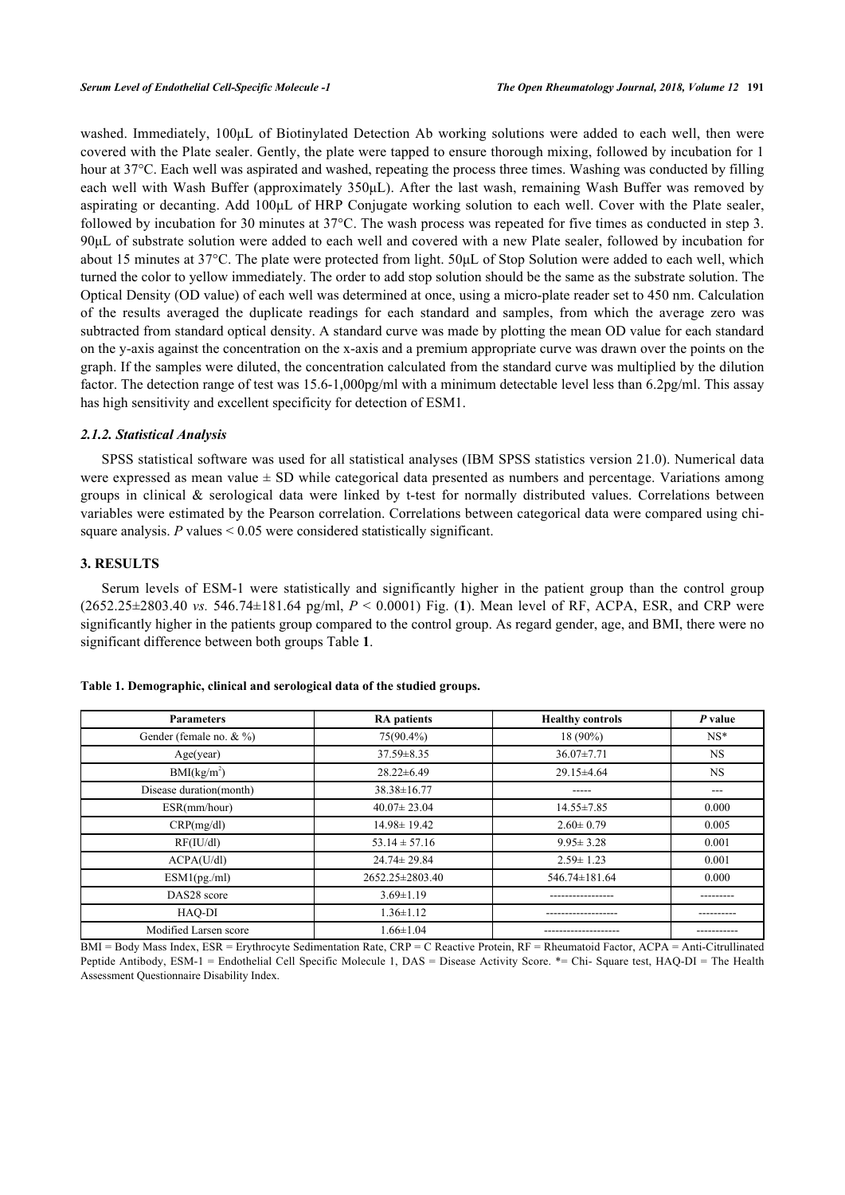washed. Immediately, 100μL of Biotinylated Detection Ab working solutions were added to each well, then were covered with the Plate sealer. Gently, the plate were tapped to ensure thorough mixing, followed by incubation for 1 hour at 37°C. Each well was aspirated and washed, repeating the process three times. Washing was conducted by filling each well with Wash Buffer (approximately 350μL). After the last wash, remaining Wash Buffer was removed by aspirating or decanting. Add 100μL of HRP Conjugate working solution to each well. Cover with the Plate sealer, followed by incubation for 30 minutes at 37°C. The wash process was repeated for five times as conducted in step 3. 90μL of substrate solution were added to each well and covered with a new Plate sealer, followed by incubation for about 15 minutes at 37°C. The plate were protected from light. 50μL of Stop Solution were added to each well, which turned the color to yellow immediately. The order to add stop solution should be the same as the substrate solution. The Optical Density (OD value) of each well was determined at once, using a micro-plate reader set to 450 nm. Calculation of the results averaged the duplicate readings for each standard and samples, from which the average zero was subtracted from standard optical density. A standard curve was made by plotting the mean OD value for each standard on the y-axis against the concentration on the x-axis and a premium appropriate curve was drawn over the points on the graph. If the samples were diluted, the concentration calculated from the standard curve was multiplied by the dilution factor. The detection range of test was 15.6-1,000pg/ml with a minimum detectable level less than 6.2pg/ml. This assay has high sensitivity and excellent specificity for detection of ESM1.

## *2.1.2. Statistical Analysis*

SPSS statistical software was used for all statistical analyses (IBM SPSS statistics version 21.0). Numerical data were expressed as mean value ± SD while categorical data presented as numbers and percentage. Variations among groups in clinical  $\&$  serological data were linked by t-test for normally distributed values. Correlations between variables were estimated by the Pearson correlation. Correlations between categorical data were compared using chisquare analysis. *P* values < 0.05 were considered statistically significant.

#### **3. RESULTS**

Serum levels of ESM-1 were statistically and significantly higher in the patient group than the control group (2652.25±2803.40 *vs.* 546.74±181.64 pg/ml, *P* < 0.0001) Fig. (**[1](#page-2-0)**). Mean level of RF, ACPA, ESR, and CRP were significantly higher in the patients group compared to the control group. As regard gender, age, and BMI, there were no significant difference between both groups Table **[1](#page-2-1)**.

| <b>Parameters</b>           | <b>RA</b> patients | <b>Healthy controls</b> | P value   |
|-----------------------------|--------------------|-------------------------|-----------|
| Gender (female no. $& \%$ ) | $75(90.4\%)$       | 18 (90%)                | $NS^*$    |
| Age(year)                   | $37.59 \pm 8.35$   | $36.07 \pm 7.71$        | <b>NS</b> |
| BMI(kg/m <sup>2</sup> )     | $28.22 \pm 6.49$   | $29.15 \pm 4.64$        | <b>NS</b> |
| Disease duration(month)     | $38.38 \pm 16.77$  | -----                   | ---       |
| ESR(mm/hour)                | $40.07 \pm 23.04$  | $14.55 \pm 7.85$        | 0.000     |
| CRP(mg/dl)                  | $14.98 \pm 19.42$  | $2.60 \pm 0.79$         | 0.005     |
| RF(IU/dl)                   | $53.14 \pm 57.16$  | $9.95 \pm 3.28$         | 0.001     |
| ACPA(U/dl)                  | $24.74 \pm 29.84$  | $2.59 \pm 1.23$         | 0.001     |
| ESM1(pg/ml)                 | 2652.25±2803.40    | 546.74±181.64           | 0.000     |
| DAS28 score                 | $3.69 \pm 1.19$    |                         |           |
| HAQ-DI                      | $1.36 \pm 1.12$    |                         |           |
| Modified Larsen score       | $1.66 \pm 1.04$    |                         |           |

#### <span id="page-2-1"></span>**Table 1. Demographic, clinical and serological data of the studied groups.**

<span id="page-2-0"></span>BMI = Body Mass Index, ESR = Erythrocyte Sedimentation Rate, CRP = C Reactive Protein, RF = Rheumatoid Factor, ACPA = Anti-Citrullinated Peptide Antibody, ESM-1 = Endothelial Cell Specific Molecule 1, DAS = Disease Activity Score. \*= Chi- Square test, HAQ-DI = The Health Assessment Questionnaire Disability Index.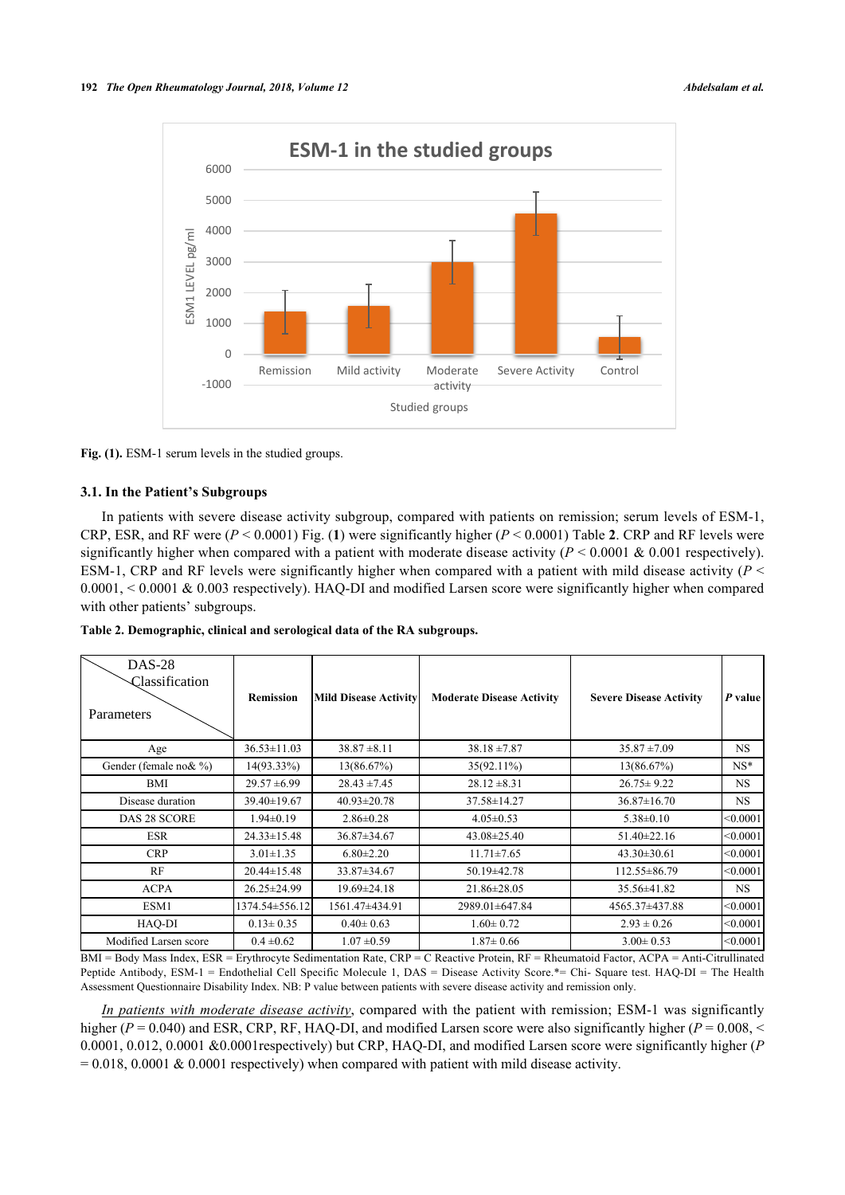

Fig. (1). ESM-1 serum levels in the studied groups.

## **3.1. In the Patient's Subgroups**

In patients with severe disease activity subgroup, compared with patients on remission; serum levels of ESM-1, CRP, ESR, and RF were (*P* < 0.0001) Fig. (**[1](#page-2-0)**) were significantly higher (*P* < 0.0001) Table **[2](#page-3-0)**. CRP and RF levels were significantly higher when compared with a patient with moderate disease activity ( $P \le 0.0001 \& 0.001$  respectively). ESM-1, CRP and RF levels were significantly higher when compared with a patient with mild disease activity (*P* < 0.0001, < 0.0001 & 0.003 respectively). HAQ-DI and modified Larsen score were significantly higher when compared with other patients' subgroups.

<span id="page-3-0"></span>**Table 2. Demographic, clinical and serological data of the RA subgroups.**

| $DAS-28$<br>Classification<br>Parameters | <b>Remission</b>  | <b>Mild Disease Activity</b> | <b>Moderate Disease Activity</b> | <b>Severe Disease Activity</b> | P value   |
|------------------------------------------|-------------------|------------------------------|----------------------------------|--------------------------------|-----------|
| Age                                      | $36.53 \pm 11.03$ | $38.87 \pm 8.11$             | $38.18 \pm 7.87$                 | $35.87 \pm 7.09$               | <b>NS</b> |
| Gender (female no & %)                   | $14(93.33\%)$     | 13(86.67%)                   | $35(92.11\%)$                    | 13(86.67%)                     | $NS*$     |
| BMI                                      | $29.57 \pm 6.99$  | $28.43 \pm 7.45$             | $28.12 \pm 8.31$                 | $26.75 \pm 9.22$               | <b>NS</b> |
| Disease duration                         | $39.40 \pm 19.67$ | $40.93 \pm 20.78$            | 37.58±14.27                      | $36.87 \pm 16.70$              | NS.       |
| DAS 28 SCORE                             | $1.94 \pm 0.19$   | $2.86 \pm 0.28$              | $4.05 \pm 0.53$                  | $5.38 \pm 0.10$                | < 0.0001  |
| <b>ESR</b>                               | $24.33 \pm 15.48$ | $36.87 \pm 34.67$            | $43.08 \pm 25.40$                | $51.40 \pm 22.16$              | < 0.0001  |
| <b>CRP</b>                               | $3.01 \pm 1.35$   | $6.80 \pm 2.20$              | $11.71 \pm 7.65$                 | $43.30 \pm 30.61$              | < 0.0001  |
| RF                                       | $20.44 \pm 15.48$ | $33.87 \pm 34.67$            | 50.19 ± 42.78                    | $112.55 \pm 86.79$             | < 0.0001  |
| <b>ACPA</b>                              | $26.25 \pm 24.99$ | $19.69 \pm 24.18$            | 21.86±28.05                      | 35.56±41.82                    | <b>NS</b> |
| ESM1                                     | 1374.54±556.12    | 1561.47±434.91               | 2989.01±647.84                   | 4565.37±437.88                 | < 0.0001  |
| HAQ-DI                                   | $0.13 \pm 0.35$   | $0.40 \pm 0.63$              | $1.60 \pm 0.72$                  | $2.93 \pm 0.26$                | < 0.0001  |
| Modified Larsen score                    | $0.4 \pm 0.62$    | $1.07 \pm 0.59$              | $1.87 \pm 0.66$                  | $3.00 \pm 0.53$                | < 0.0001  |

BMI = Body Mass Index, ESR = Erythrocyte Sedimentation Rate, CRP = C Reactive Protein, RF = Rheumatoid Factor, ACPA = Anti-Citrullinated Peptide Antibody, ESM-1 = Endothelial Cell Specific Molecule 1, DAS = Disease Activity Score.\*= Chi- Square test. HAQ-DI = The Health Assessment Questionnaire Disability Index. NB: P value between patients with severe disease activity and remission only.

*In patients with moderate disease activity*, compared with the patient with remission; ESM-1 was significantly higher ( $P = 0.040$ ) and ESR, CRP, RF, HAQ-DI, and modified Larsen score were also significantly higher ( $P = 0.008$ ,  $\leq$ 0.0001, 0.012, 0.0001 &0.0001respectively) but CRP, HAQ-DI, and modified Larsen score were significantly higher (*P*  $= 0.018, 0.0001$  & 0.0001 respectively) when compared with patient with mild disease activity.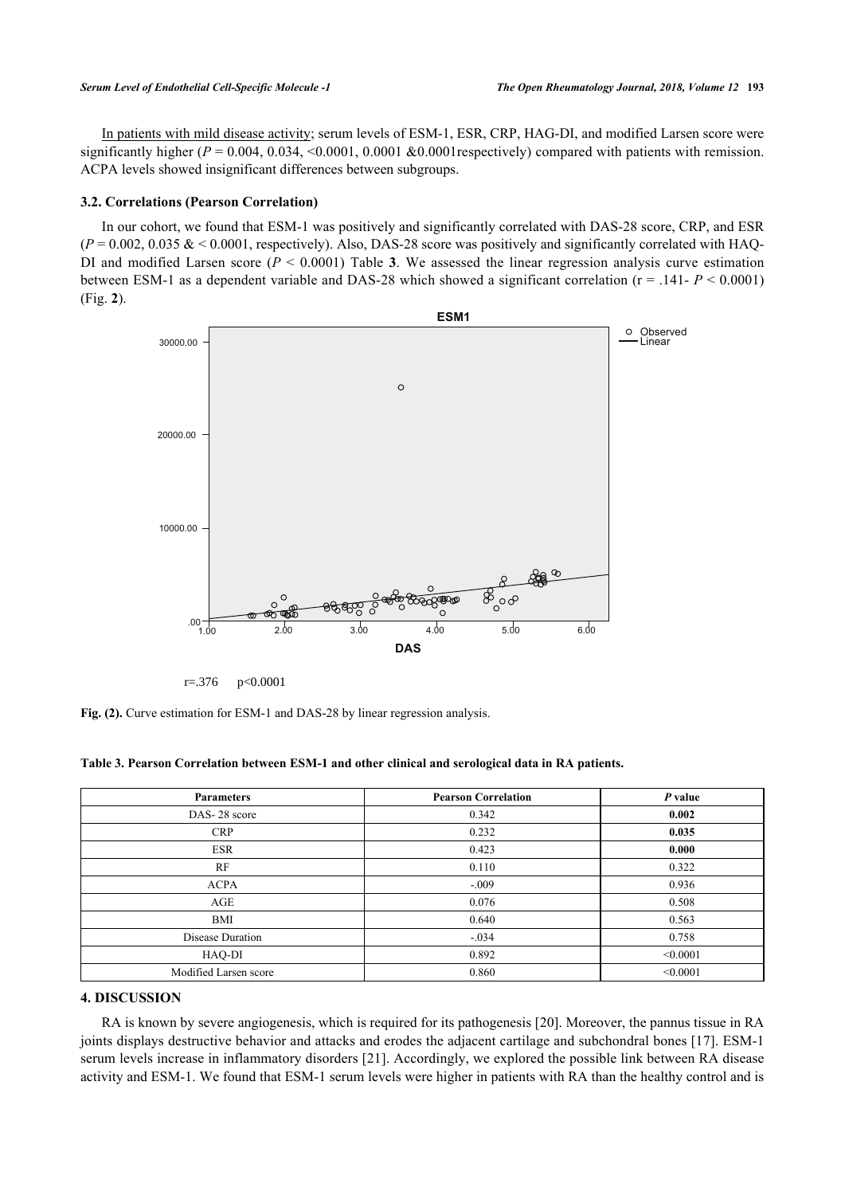In patients with mild disease activity; serum levels of ESM-1, ESR, CRP, HAG-DI, and modified Larsen score were significantly higher  $(P = 0.004, 0.034, \le 0.0001, 0.0001$  &0.0001 respectively) compared with patients with remission. ACPA levels showed insignificant differences between subgroups.

## **3.2. Correlations (Pearson Correlation)**

<span id="page-4-1"></span>In our cohort, we found that ESM-1 was positively and significantly correlated with DAS-28 score, CRP, and ESR  $(P = 0.002, 0.035 \< 0.0001$ , respectively). Also, DAS-28 score was positively and significantly correlated with HAQDIand modified Larsen score ( $P < 0.0001$ ) Table 3. We assessed the linear regression analysis curve estimation between ESM-1 as a dependent variable and DAS-28 which showed a significant correlation (r = .141- *P* < 0.0001) (Fig. **[2](#page-4-1)**).



r=.376 p<0.0001

**Fig. (2).** Curve estimation for ESM-1 and DAS-28 by linear regression analysis.

<span id="page-4-0"></span>

| Table 3. Pearson Correlation between ESM-1 and other clinical and serological data in RA patients. |  |  |  |  |  |  |  |
|----------------------------------------------------------------------------------------------------|--|--|--|--|--|--|--|
|----------------------------------------------------------------------------------------------------|--|--|--|--|--|--|--|

| <b>Parameters</b>     | <b>Pearson Correlation</b> | P value  |
|-----------------------|----------------------------|----------|
| DAS-28 score          | 0.342                      | 0.002    |
| <b>CRP</b>            | 0.232                      | 0.035    |
| <b>ESR</b>            | 0.423                      | 0.000    |
| RF                    | 0.110                      | 0.322    |
| <b>ACPA</b>           | $-.009$                    | 0.936    |
| AGE                   | 0.076                      | 0.508    |
| BMI                   | 0.640                      | 0.563    |
| Disease Duration      | $-.034$                    | 0.758    |
| HAQ-DI                | 0.892                      | < 0.0001 |
| Modified Larsen score | 0.860                      | < 0.0001 |

## **4. DISCUSSION**

RA is known by severe angiogenesis, which is required for its pathogenesis [\[20](#page-6-15)]. Moreover, the pannus tissue in RA joints displays destructive behavior and attacks and erodes the adjacent cartilage and subchondral bones [\[17\]](#page-6-12). ESM-1 serum levels increase in inflammatory disorders [[21\]](#page-6-16). Accordingly, we explored the possible link between RA disease activity and ESM-1. We found that ESM-1 serum levels were higher in patients with RA than the healthy control and is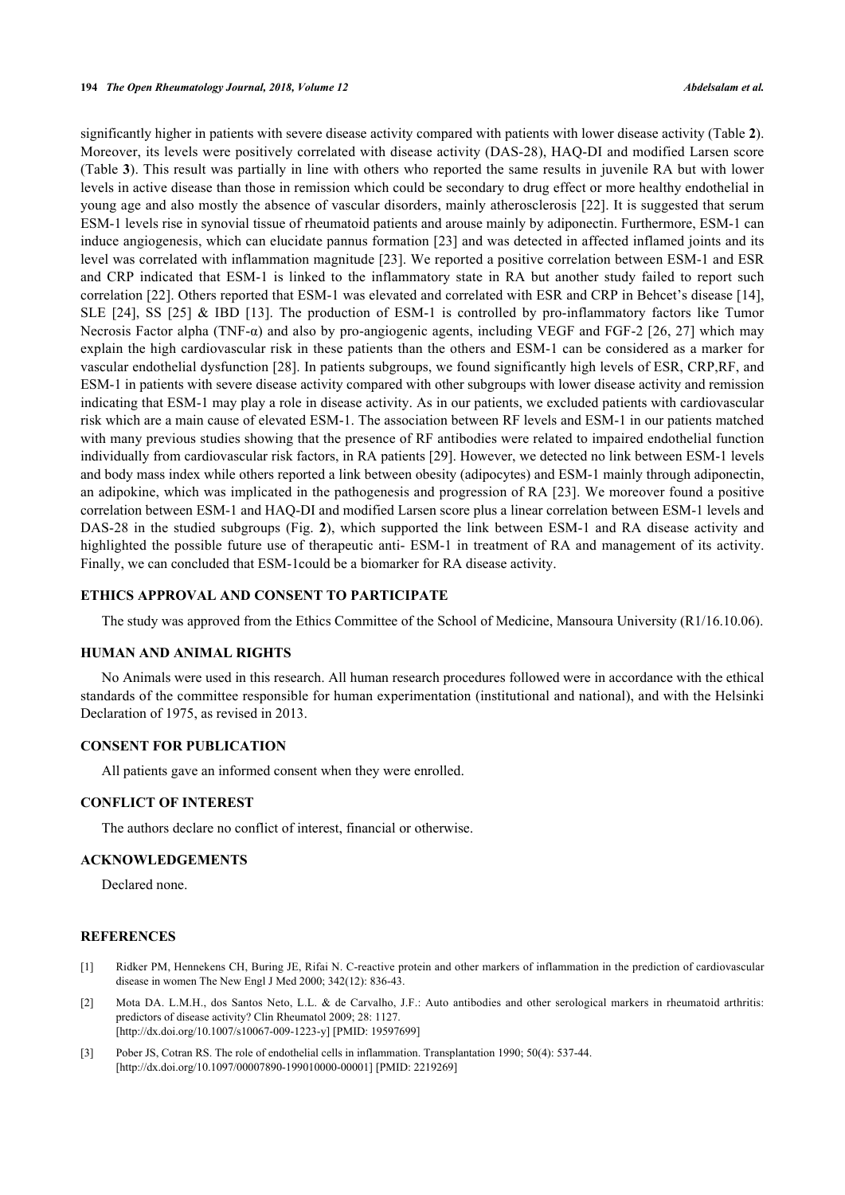significantly higher in patients with severe disease activity compared with patients with lower disease activity (Table **[2](#page-3-0)**). Moreover, its levels were positively correlated with disease activity (DAS-28), HAQ-DI and modified Larsen score (Table **[3](#page-4-0)**). This result was partially in line with others who reported the same results in juvenile RA but with lower levels in active disease than those in remission which could be secondary to drug effect or more healthy endothelial in young age and also mostly the absence of vascular disorders, mainly atherosclerosis [[22](#page-6-17)]. It is suggested that serum ESM-1 levels rise in synovial tissue of rheumatoid patients and arouse mainly by adiponectin. Furthermore, ESM-1 can induce angiogenesis, which can elucidate pannus formation [[23](#page-6-18)] and was detected in affected inflamed joints and its level was correlated with inflammation magnitude [\[23\]](#page-6-18). We reported a positive correlation between ESM-1 and ESR and CRP indicated that ESM-1 is linked to the inflammatory state in RA but another study failed to report such correlation [[22\]](#page-6-17). Others reported that ESM-1 was elevated and correlated with ESR and CRP in Behcet's disease [[14\]](#page-6-9), SLE [\[24\]](#page-6-19), SS[[25\]](#page-6-20) & IBD [\[13\]](#page-6-21). The production of ESM-1 is controlled by pro-inflammatory factors like Tumor Necrosis Factor alpha (TNF- $\alpha$ ) and also by pro-angiogenic agents, including VEGF and FGF-2 [[26](#page-7-0), [27](#page-7-1)] which may explain the high cardiovascular risk in these patients than the others and ESM-1 can be considered as a marker for vascular endothelial dysfunction [[28\]](#page-7-2). In patients subgroups, we found significantly high levels of ESR, CRP,RF, and ESM-1 in patients with severe disease activity compared with other subgroups with lower disease activity and remission indicating that ESM-1 may play a role in disease activity. As in our patients, we excluded patients with cardiovascular risk which are a main cause of elevated ESM-1. The association between RF levels and ESM-1 in our patients matched with many previous studies showing that the presence of RF antibodies were related to impaired endothelial function individually from cardiovascular risk factors, in RA patients [[29\]](#page-7-3). However, we detected no link between ESM-1 levels and body mass index while others reported a link between obesity (adipocytes) and ESM-1 mainly through adiponectin, an adipokine, which was implicated in the pathogenesis and progression of RA [[23\]](#page-6-18). We moreover found a positive correlation between ESM-1 and HAQ-DI and modified Larsen score plus a linear correlation between ESM-1 levels and DAS-28 in the studied subgroups (Fig. **[2](#page-4-1)**), which supported the link between ESM-1 and RA disease activity and highlighted the possible future use of therapeutic anti- ESM-1 in treatment of RA and management of its activity. Finally, we can concluded that ESM-1could be a biomarker for RA disease activity.

## **ETHICS APPROVAL AND CONSENT TO PARTICIPATE**

The study was approved from the Ethics Committee of the School of Medicine, Mansoura University (R1/16.10.06).

#### **HUMAN AND ANIMAL RIGHTS**

No Animals were used in this research. All human research procedures followed were in accordance with the ethical standards of the committee responsible for human experimentation (institutional and national), and with the Helsinki Declaration of 1975, as revised in 2013.

## **CONSENT FOR PUBLICATION**

All patients gave an informed consent when they were enrolled.

## **CONFLICT OF INTEREST**

The authors declare no conflict of interest, financial or otherwise.

## **ACKNOWLEDGEMENTS**

Declared none.

#### **REFERENCES**

- <span id="page-5-0"></span>[1] Ridker PM, Hennekens CH, Buring JE, Rifai N. C-reactive protein and other markers of inflammation in the prediction of cardiovascular disease in women The New Engl J Med 2000; 342(12): 836-43.
- <span id="page-5-1"></span>[2] Mota DA. L.M.H., dos Santos Neto, L.L. & de Carvalho, J.F.: Auto antibodies and other serological markers in rheumatoid arthritis: predictors of disease activity? Clin Rheumatol 2009; 28: 1127. [\[http://dx.doi.org/10.1007/s10067-009-1223-y\]](http://dx.doi.org/10.1007/s10067-009-1223-y) [PMID: [19597699](http://www.ncbi.nlm.nih.gov/pubmed/19597699)]
- <span id="page-5-2"></span>[3] Pober JS, Cotran RS. The role of endothelial cells in inflammation. Transplantation 1990; 50(4): 537-44. [\[http://dx.doi.org/10.1097/00007890-199010000-00001](http://dx.doi.org/10.1097/00007890-199010000-00001)] [PMID: [2219269\]](http://www.ncbi.nlm.nih.gov/pubmed/2219269)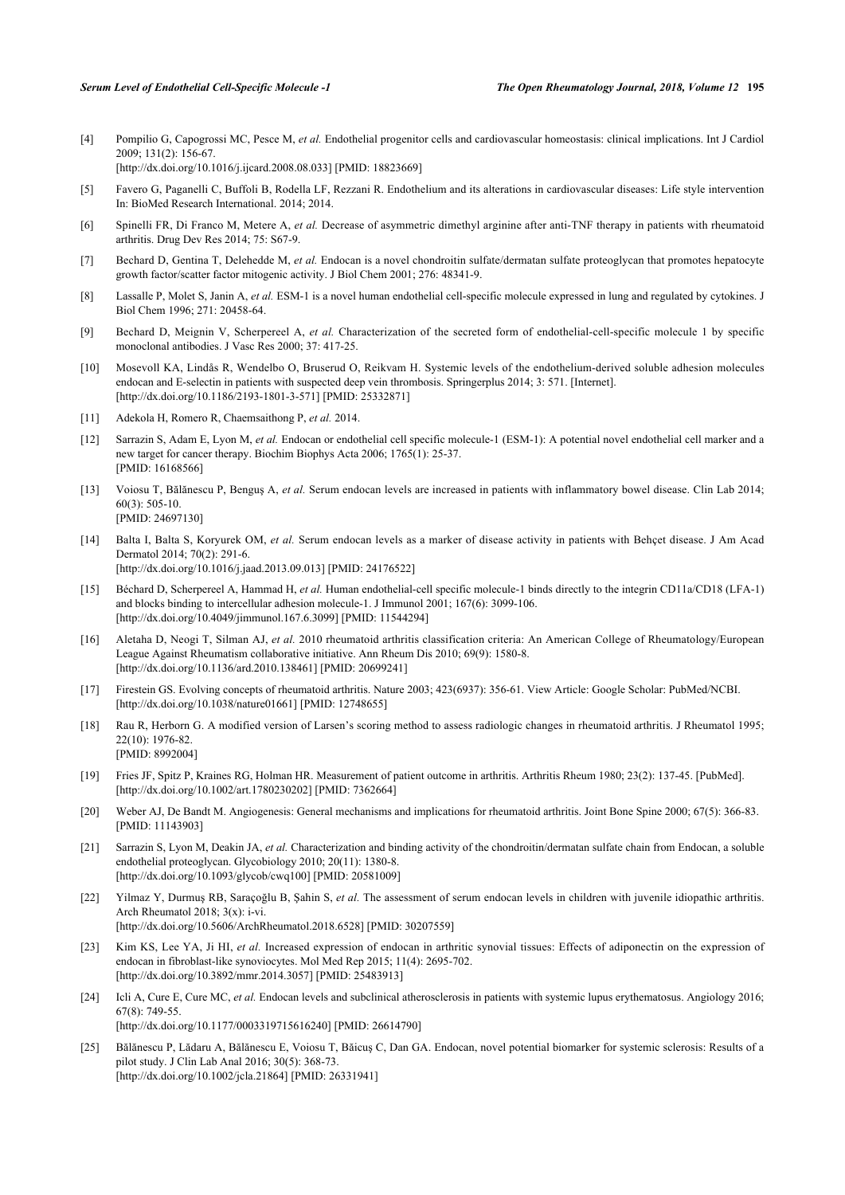<span id="page-6-0"></span>[4] Pompilio G, Capogrossi MC, Pesce M, *et al.* Endothelial progenitor cells and cardiovascular homeostasis: clinical implications. Int J Cardiol 2009; 131(2): 156-67. [\[http://dx.doi.org/10.1016/j.ijcard.2008.08.033](http://dx.doi.org/10.1016/j.ijcard.2008.08.033)] [PMID: [18823669\]](http://www.ncbi.nlm.nih.gov/pubmed/18823669)

<span id="page-6-1"></span>[5] Favero G, Paganelli C, Buffoli B, Rodella LF, Rezzani R. Endothelium and its alterations in cardiovascular diseases: Life style intervention In: BioMed Research International. 2014; 2014.

- <span id="page-6-2"></span>[6] Spinelli FR, Di Franco M, Metere A, *et al.* Decrease of asymmetric dimethyl arginine after anti-TNF therapy in patients with rheumatoid arthritis. Drug Dev Res 2014; 75: S67-9.
- <span id="page-6-3"></span>[7] Bechard D, Gentina T, Delehedde M, *et al.* Endocan is a novel chondroitin sulfate/dermatan sulfate proteoglycan that promotes hepatocyte growth factor/scatter factor mitogenic activity. J Biol Chem 2001; 276: 48341-9.
- <span id="page-6-4"></span>[8] Lassalle P, Molet S, Janin A, *et al.* ESM-1 is a novel human endothelial cell-specific molecule expressed in lung and regulated by cytokines. J Biol Chem 1996; 271: 20458-64.
- <span id="page-6-5"></span>[9] Bechard D, Meignin V, Scherpereel A, *et al.* Characterization of the secreted form of endothelial-cell-specific molecule 1 by specific monoclonal antibodies. J Vasc Res 2000; 37: 417-25.
- <span id="page-6-6"></span>[10] Mosevoll KA, Lindås R, Wendelbo O, Bruserud O, Reikvam H. Systemic levels of the endothelium-derived soluble adhesion molecules endocan and E-selectin in patients with suspected deep vein thrombosis. Springerplus 2014; 3: 571. [Internet]. [\[http://dx.doi.org/10.1186/2193-1801-3-571\]](http://dx.doi.org/10.1186/2193-1801-3-571) [PMID: [25332871](http://www.ncbi.nlm.nih.gov/pubmed/25332871)]
- <span id="page-6-7"></span>[11] Adekola H, Romero R, Chaemsaithong P, *et al.* 2014.
- <span id="page-6-8"></span>[12] Sarrazin S, Adam E, Lyon M, *et al.* Endocan or endothelial cell specific molecule-1 (ESM-1): A potential novel endothelial cell marker and a new target for cancer therapy. Biochim Biophys Acta 2006; 1765(1): 25-37. [PMID: [16168566\]](http://www.ncbi.nlm.nih.gov/pubmed/16168566)
- <span id="page-6-21"></span>[13] Voiosu T, Bălănescu P, Benguş A, *et al.* Serum endocan levels are increased in patients with inflammatory bowel disease. Clin Lab 2014; 60(3): 505-10. [PMID: [24697130\]](http://www.ncbi.nlm.nih.gov/pubmed/24697130)
- <span id="page-6-9"></span>[14] Balta I, Balta S, Koryurek OM, *et al.* Serum endocan levels as a marker of disease activity in patients with Behçet disease. J Am Acad Dermatol 2014; 70(2): 291-6. [\[http://dx.doi.org/10.1016/j.jaad.2013.09.013](http://dx.doi.org/10.1016/j.jaad.2013.09.013)] [PMID: [24176522\]](http://www.ncbi.nlm.nih.gov/pubmed/24176522)
- <span id="page-6-10"></span>[15] Béchard D, Scherpereel A, Hammad H, *et al.* Human endothelial-cell specific molecule-1 binds directly to the integrin CD11a/CD18 (LFA-1) and blocks binding to intercellular adhesion molecule-1. J Immunol 2001; 167(6): 3099-106. [\[http://dx.doi.org/10.4049/jimmunol.167.6.3099\]](http://dx.doi.org/10.4049/jimmunol.167.6.3099) [PMID: [11544294](http://www.ncbi.nlm.nih.gov/pubmed/11544294)]
- <span id="page-6-11"></span>[16] Aletaha D, Neogi T, Silman AJ, *et al.* 2010 rheumatoid arthritis classification criteria: An American College of Rheumatology/European League Against Rheumatism collaborative initiative. Ann Rheum Dis 2010; 69(9): 1580-8. [\[http://dx.doi.org/10.1136/ard.2010.138461](http://dx.doi.org/10.1136/ard.2010.138461)] [PMID: [20699241\]](http://www.ncbi.nlm.nih.gov/pubmed/20699241)
- <span id="page-6-12"></span>[17] Firestein GS. Evolving concepts of rheumatoid arthritis. Nature 2003; 423(6937): 356-61. View Article: Google Scholar: PubMed/NCBI. [\[http://dx.doi.org/10.1038/nature01661\]](http://dx.doi.org/10.1038/nature01661) [PMID: [12748655](http://www.ncbi.nlm.nih.gov/pubmed/12748655)]
- <span id="page-6-13"></span>[18] Rau R, Herborn G. A modified version of Larsen's scoring method to assess radiologic changes in rheumatoid arthritis. J Rheumatol 1995; 22(10): 1976-82. [PMID: [8992004\]](http://www.ncbi.nlm.nih.gov/pubmed/8992004)
- <span id="page-6-14"></span>[19] Fries JF, Spitz P, Kraines RG, Holman HR. Measurement of patient outcome in arthritis. Arthritis Rheum 1980; 23(2): 137-45. [PubMed]. [\[http://dx.doi.org/10.1002/art.1780230202](http://dx.doi.org/10.1002/art.1780230202)] [PMID: [7362664\]](http://www.ncbi.nlm.nih.gov/pubmed/7362664)
- <span id="page-6-15"></span>[20] Weber AJ, De Bandt M. Angiogenesis: General mechanisms and implications for rheumatoid arthritis. Joint Bone Spine 2000; 67(5): 366-83. [PMID: [11143903\]](http://www.ncbi.nlm.nih.gov/pubmed/11143903)
- <span id="page-6-16"></span>[21] Sarrazin S, Lyon M, Deakin JA, *et al.* Characterization and binding activity of the chondroitin/dermatan sulfate chain from Endocan, a soluble endothelial proteoglycan. Glycobiology 2010; 20(11): 1380-8. [\[http://dx.doi.org/10.1093/glycob/cwq100](http://dx.doi.org/10.1093/glycob/cwq100)] [PMID: [20581009\]](http://www.ncbi.nlm.nih.gov/pubmed/20581009)
- <span id="page-6-17"></span>[22] Yilmaz Y, Durmuş RB, Saraçoğlu B, Şahin S, *et al.* The assessment of serum endocan levels in children with juvenile idiopathic arthritis. Arch Rheumatol 2018; 3(x): i-vi. [\[http://dx.doi.org/10.5606/ArchRheumatol.2018.6528\]](http://dx.doi.org/10.5606/ArchRheumatol.2018.6528) [PMID: [30207559](http://www.ncbi.nlm.nih.gov/pubmed/30207559)]
- <span id="page-6-18"></span>[23] Kim KS, Lee YA, Ji HI, *et al.* Increased expression of endocan in arthritic synovial tissues: Effects of adiponectin on the expression of endocan in fibroblast-like synoviocytes. Mol Med Rep 2015; 11(4): 2695-702. [\[http://dx.doi.org/10.3892/mmr.2014.3057\]](http://dx.doi.org/10.3892/mmr.2014.3057) [PMID: [25483913](http://www.ncbi.nlm.nih.gov/pubmed/25483913)]
- <span id="page-6-19"></span>[24] Icli A, Cure E, Cure MC, et al. Endocan levels and subclinical atherosclerosis in patients with systemic lupus erythematosus. Angiology 2016; 67(8): 749-55. [\[http://dx.doi.org/10.1177/0003319715616240\]](http://dx.doi.org/10.1177/0003319715616240) [PMID: [26614790](http://www.ncbi.nlm.nih.gov/pubmed/26614790)]
- <span id="page-6-20"></span>[25] Bălănescu P, Lădaru A, Bălănescu E, Voiosu T, Băicuş C, Dan GA. Endocan, novel potential biomarker for systemic sclerosis: Results of a pilot study. J Clin Lab Anal 2016; 30(5): 368-73. [\[http://dx.doi.org/10.1002/jcla.21864](http://dx.doi.org/10.1002/jcla.21864)] [PMID: [26331941\]](http://www.ncbi.nlm.nih.gov/pubmed/26331941)